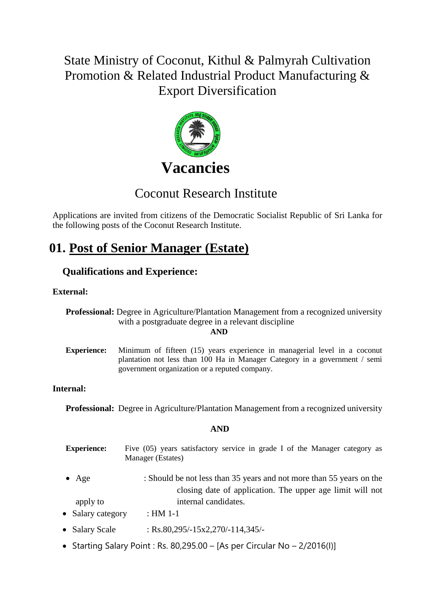# State Ministry of Coconut, Kithul & Palmyrah Cultivation Promotion & Related Industrial Product Manufacturing & Export Diversification



# Coconut Research Institute

Applications are invited from citizens of the Democratic Socialist Republic of Sri Lanka for the following posts of the Coconut Research Institute.

# **01. Post of Senior Manager (Estate)**

## **Qualifications and Experience:**

### **External:**

**Professional:** Degree in Agriculture/Plantation Management from a recognized university with a postgraduate degree in a relevant discipline

**AND**

**Experience:** Minimum of fifteen (15) years experience in managerial level in a coconut plantation not less than 100 Ha in Manager Category in a government / semi government organization or a reputed company.

### **Internal:**

**Professional:** Degree in Agriculture/Plantation Management from a recognized university

### **AND**

- **Experience:** Five (05) years satisfactory service in grade I of the Manager category as Manager (Estates)
- Age : Should be not less than 35 years and not more than 55 years on the closing date of application. The upper age limit will not apply to internal candidates.
- Salary category : HM 1-1
- Salary Scale : Rs.80,295/-15x2,270/-114,345/-
- Starting Salary Point : Rs. 80,295.00 [As per Circular No 2/2016(I)]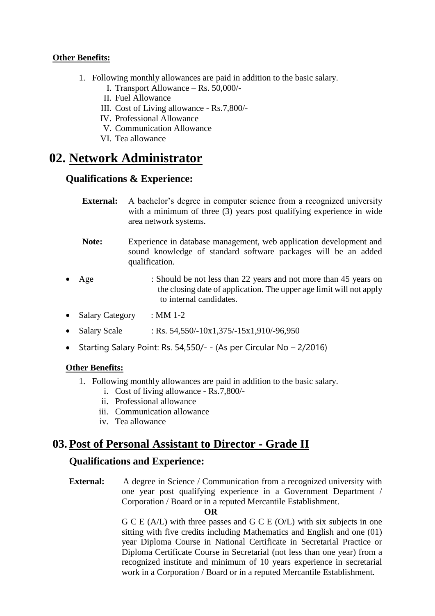- 1. Following monthly allowances are paid in addition to the basic salary.
	- I. Transport Allowance Rs. 50,000/-
	- II. Fuel Allowance
	- III. Cost of Living allowance Rs.7,800/-
	- IV. Professional Allowance
	- V. Communication Allowance
	- VI. Tea allowance

# **02. Network Administrator**

## **Qualifications & Experience:**

- **External:** A bachelor's degree in computer science from a recognized university with a minimum of three (3) years post qualifying experience in wide area network systems.
- **Note:** Experience in database management, web application development and sound knowledge of standard software packages will be an added qualification.
- Age : Should be not less than 22 years and not more than 45 years on the closing date of application. The upper age limit will not apply to internal candidates.
- Salary Category : MM 1-2
- Salary Scale : Rs. 54,550/-10x1,375/-15x1,910/-96,950
- Starting Salary Point: Rs. 54,550/- (As per Circular No  $-2/2016$ )

## **Other Benefits:**

- 1. Following monthly allowances are paid in addition to the basic salary.
	- i. Cost of living allowance Rs.7,800/-
	- ii. Professional allowance
	- iii. Communication allowance
	- iv. Tea allowance

## **03. Post of Personal Assistant to Director - Grade II**

## **Qualifications and Experience:**

**External:** A degree in Science / Communication from a recognized university with one year post qualifying experience in a Government Department / Corporation / Board or in a reputed Mercantile Establishment.

#### **OR**

G C E (A/L) with three passes and G C E (O/L) with six subjects in one sitting with five credits including Mathematics and English and one (01) year Diploma Course in National Certificate in Secretarial Practice or Diploma Certificate Course in Secretarial (not less than one year) from a recognized institute and minimum of 10 years experience in secretarial work in a Corporation / Board or in a reputed Mercantile Establishment.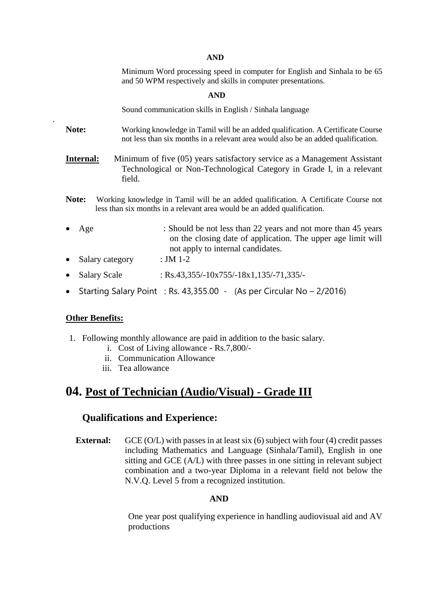#### **AND**

Minimum Word processing speed in computer for English and Sinhala to be 65 and 50 WPM respectively and skills in computer presentations.

#### **AND**

Sound communication skills in English / Sinhala language

- **Note:** Working knowledge in Tamil will be an added qualification. A Certificate Course not less than six months in a relevant area would also be an added qualification.
- **Internal:** Minimum of five (05) years satisfactory service as a Management Assistant Technological or Non-Technological Category in Grade I, in a relevant field.
- **Note:** Working knowledge in Tamil will be an added qualification. A Certificate Course not less than six months in a relevant area would be an added qualification.
- Age : Should be not less than 22 years and not more than 45 years on the closing date of application. The upper age limit will not apply to internal candidates. • Salary category : JM 1-2
- Salary Scale : Rs.43,355/-10x755/-18x1,135/-71,335/-
- Starting Salary Point : Rs. 43,355.00 (As per Circular No  $-2/2016$ )

#### **Other Benefits:**

.

- 1. Following monthly allowance are paid in addition to the basic salary.
	- i. Cost of Living allowance Rs.7,800/-
	- ii. Communication Allowance
	- iii. Tea allowance

## **04. Post of Technician (Audio/Visual) - Grade III**

#### **Qualifications and Experience:**

**External:** GCE (O/L) with passes in at least six (6) subject with four (4) credit passes including Mathematics and Language (Sinhala/Tamil), English in one sitting and GCE (A/L) with three passes in one sitting in relevant subject combination and a two-year Diploma in a relevant field not below the N.V.Q. Level 5 from a recognized institution.

#### **AND**

 One year post qualifying experience in handling audiovisual aid and AV productions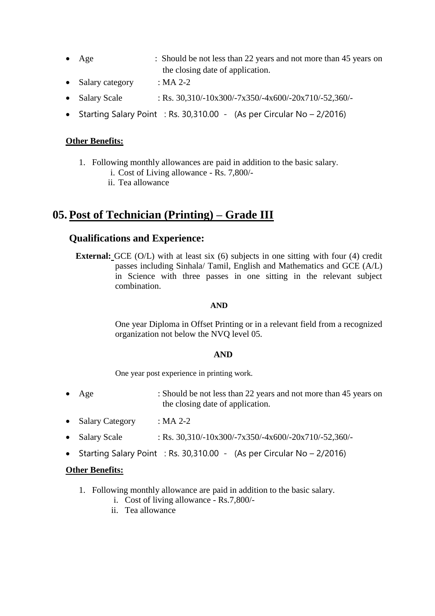- Age : Should be not less than 22 years and not more than 45 years on the closing date of application.
- Salary category : MA 2-2
- Salary Scale : Rs.  $30,310/-10x300/-7x350/-4x600/-20x710/-52,360/-$
- Starting Salary Point : Rs. 30,310.00 (As per Circular No  $-2/2016$ )

- 1. Following monthly allowances are paid in addition to the basic salary.
	- i. Cost of Living allowance Rs. 7,800/-
	- ii. Tea allowance

## **05. Post of Technician (Printing) – Grade III**

## **Qualifications and Experience:**

**External:** GCE (O/L) with at least six (6) subjects in one sitting with four (4) credit passes including Sinhala/ Tamil, English and Mathematics and GCE (A/L) in Science with three passes in one sitting in the relevant subject combination.

#### **AND**

One year Diploma in Offset Printing or in a relevant field from a recognized organization not below the NVQ level 05.

#### **AND**

One year post experience in printing work.

- Age : Should be not less than 22 years and not more than 45 years on the closing date of application.
- Salary Category : MA 2-2
- Salary Scale : Rs.  $30,310/-10x300/-7x350/-4x600/-20x710/-52,360/-$
- Starting Salary Point : Rs. 30,310.00 (As per Circular No 2/2016)

#### **Other Benefits:**

- 1. Following monthly allowance are paid in addition to the basic salary.
	- i. Cost of living allowance Rs.7,800/-
	- ii. Tea allowance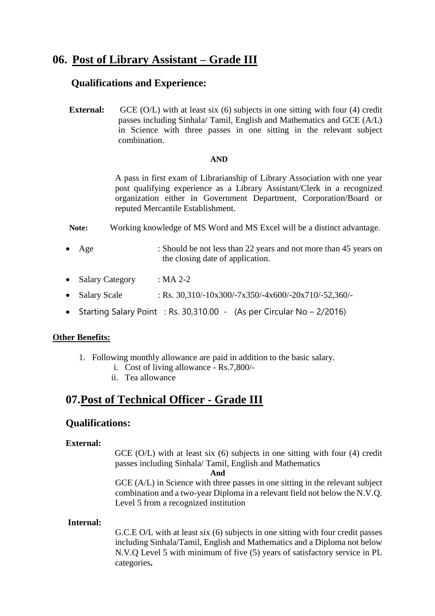## **06. Post of Library Assistant – Grade III**

### **Qualifications and Experience:**

**External:** GCE (O/L) with at least six (6) subjects in one sitting with four (4) credit passes including Sinhala/ Tamil, English and Mathematics and GCE (A/L) in Science with three passes in one sitting in the relevant subject combination.

#### **AND**

A pass in first exam of Librarianship of Library Association with one year post qualifying experience as a Library Assistant/Clerk in a recognized organization either in Government Department, Corporation/Board or reputed Mercantile Establishment.

**Note:** Working knowledge of MS Word and MS Excel will be a distinct advantage.

- Age : Should be not less than 22 years and not more than 45 years on the closing date of application.
- Salary Category : MA 2-2
- Salary Scale : Rs.  $30.310/-10x300/-7x350/-4x600/-20x710/-52.360/-$
- Starting Salary Point : Rs. 30,310.00 (As per Circular No 2/2016)

#### **Other Benefits:**

- 1. Following monthly allowance are paid in addition to the basic salary.
	- i. Cost of living allowance Rs.7,800/-
	- ii. Tea allowance

## **07.Post of Technical Officer - Grade III**

### **Qualifications:**

#### **External:**

GCE (O/L) with at least six (6) subjects in one sitting with four (4) credit passes including Sinhala/ Tamil, English and Mathematics

#### **And**

GCE (A/L) in Science with three passes in one sitting in the relevant subject combination and a two-year Diploma in a relevant field not below the N.V.Q. Level 5 from a recognized institution

#### **Internal:**

G.C.E O/L with at least six (6) subjects in one sitting with four credit passes including Sinhala/Tamil, English and Mathematics and a Diploma not below N.V.Q Level 5 with minimum of five (5) years of satisfactory service in PL categories**.**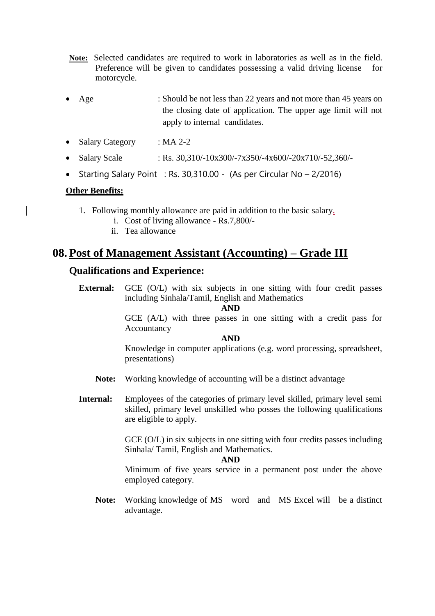- **Note:** Selected candidates are required to work in laboratories as well as in the field. Preference will be given to candidates possessing a valid driving license for motorcycle.
- Age : Should be not less than 22 years and not more than 45 years on the closing date of application. The upper age limit will not apply to internal candidates.
- Salary Category : MA 2-2
- Salary Scale : Rs.  $30,310/-10x300/-7x350/-4x600/-20x710/-52,360/-$
- Starting Salary Point : Rs. 30,310.00 (As per Circular No  $-2/2016$ )

- 1. Following monthly allowance are paid in addition to the basic salary.
	- i. Cost of living allowance Rs.7,800/-
	- ii. Tea allowance

## **08. Post of Management Assistant (Accounting) – Grade III**

## **Qualifications and Experience:**

**External:** GCE (O/L) with six subjects in one sitting with four credit passes including Sinhala/Tamil, English and Mathematics

**AND**

GCE (A/L) with three passes in one sitting with a credit pass for Accountancy

**AND**

Knowledge in computer applications (e.g. word processing, spreadsheet, presentations)

- **Note:** Working knowledge of accounting will be a distinct advantage
- **Internal:** Employees of the categories of primary level skilled, primary level semi skilled, primary level unskilled who posses the following qualifications are eligible to apply.

GCE (O/L) in six subjects in one sitting with four credits passes including Sinhala/ Tamil, English and Mathematics.

#### **AND**

Minimum of five years service in a permanent post under the above employed category.

**Note:** Working knowledge of MS word and MS Excel will be a distinct advantage.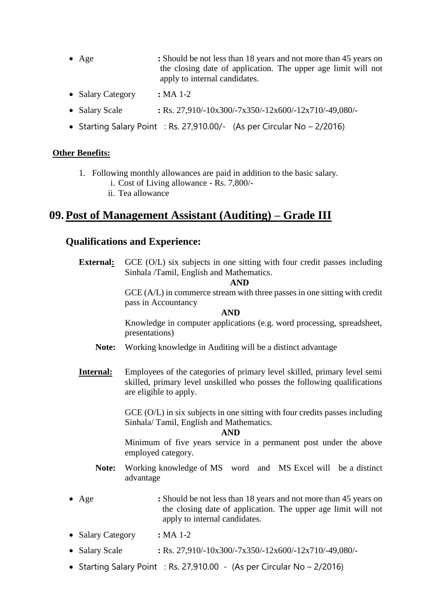- Age **:** Should be not less than 18 years and not more than 45 years on the closing date of application. The upper age limit will not apply to internal candidates.
- Salary Category **: MA 1-2**
- Salary Scale **: Rs. 27,910/-10x300/-7x350/-12x600/-12x710/-49,080/-**
- Starting Salary Point : Rs. 27,910.00/- (As per Circular No  $-2/2016$ )

- 1. Following monthly allowances are paid in addition to the basic salary.
	- i. Cost of Living allowance Rs. 7,800/-
	- ii. Tea allowance

## **09. Post of Management Assistant (Auditing) – Grade III**

### **Qualifications and Experience:**

**External:** GCE (O/L) six subjects in one sitting with four credit passes including Sinhala /Tamil, English and Mathematics. **AND**  GCE (A/L) in commerce stream with three passes in one sitting with credit pass in Accountancy **AND** Knowledge in computer applications (e.g. word processing, spreadsheet, presentations) **Note:** Working knowledge in Auditing will be a distinct advantage **Internal:** Employees of the categories of primary level skilled, primary level semi skilled, primary level unskilled who posses the following qualifications are eligible to apply. GCE (O/L) in six subjects in one sitting with four credits passes including Sinhala/ Tamil, English and Mathematics. **AND** Minimum of five years service in a permanent post under the above employed category. **Note:** Working knowledge of MS word and MS Excel will be a distinct advantage Age **:** Should be not less than 18 years and not more than 45 years on the closing date of application. The upper age limit will not apply to internal candidates. • Salary Category **:** MA 1-2 • Salary Scale **: Rs.** 27,910/-10x300/-7x350/-12x600/-12x710/-49,080/-• Starting Salary Point : Rs. 27,910.00 - (As per Circular No  $-2/2016$ )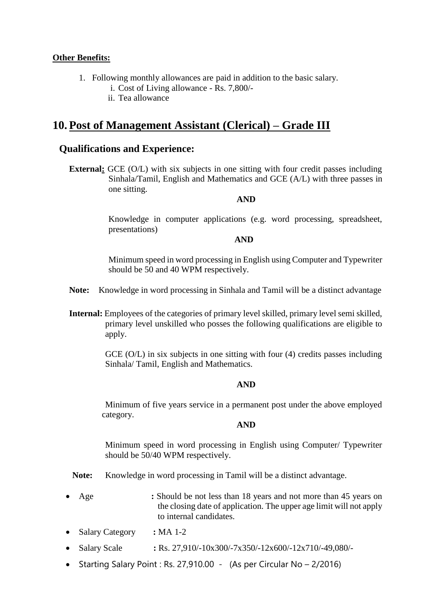- 1. Following monthly allowances are paid in addition to the basic salary.
	- i. Cost of Living allowance Rs. 7,800/-
	- ii. Tea allowance

## **10. Post of Management Assistant (Clerical) – Grade III**

### **Qualifications and Experience:**

**External:** GCE (O/L) with six subjects in one sitting with four credit passes including Sinhala/Tamil, English and Mathematics and GCE (A/L) with three passes in one sitting.

#### **AND**

Knowledge in computer applications (e.g. word processing, spreadsheet, presentations)

#### **AND**

Minimum speed in word processing in English using Computer and Typewriter should be 50 and 40 WPM respectively.

- **Note:** Knowledge in word processing in Sinhala and Tamil will be a distinct advantage
- **Internal:** Employees of the categories of primary level skilled, primary level semi skilled, primary level unskilled who posses the following qualifications are eligible to apply.

GCE (O/L) in six subjects in one sitting with four (4) credits passes including Sinhala/ Tamil, English and Mathematics.

#### **AND**

Minimum of five years service in a permanent post under the above employed category.

#### **AND**

Minimum speed in word processing in English using Computer/ Typewriter should be 50/40 WPM respectively.

**Note:** Knowledge in word processing in Tamil will be a distinct advantage.

- Age **:** Should be not less than 18 years and not more than 45 years on the closing date of application. The upper age limit will not apply to internal candidates.
- Salary Category **:** MA 1-2
- Salary Scale : Rs. 27,910/-10x300/-7x350/-12x600/-12x710/-49,080/-
- Starting Salary Point : Rs. 27,910.00 (As per Circular No 2/2016)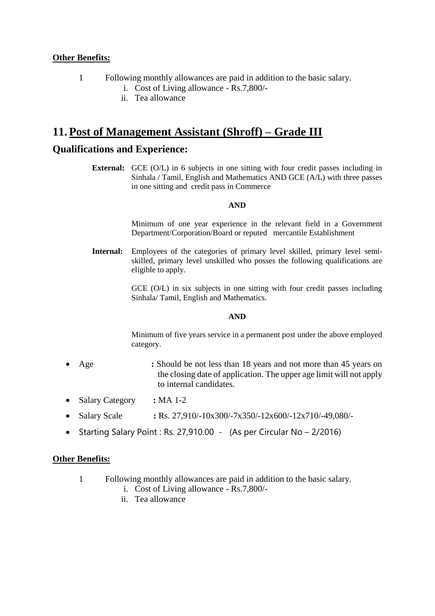- 1 Following monthly allowances are paid in addition to the basic salary.
	- i. Cost of Living allowance Rs.7,800/-
	- ii. Tea allowance

## **11. Post of Management Assistant (Shroff) – Grade III**

## **Qualifications and Experience:**

**External:** GCE (O/L) in 6 subjects in one sitting with four credit passes including in Sinhala / Tamil, English and Mathematics AND GCE (A/L) with three passes in one sitting and credit pass in Commerce

#### **AND**

Minimum of one year experience in the relevant field in a Government Department/Corporation/Board or reputed mercantile Establishment

**Internal:** Employees of the categories of primary level skilled, primary level semiskilled, primary level unskilled who posses the following qualifications are eligible to apply.

> GCE (O/L) in six subjects in one sitting with four credit passes including Sinhala/ Tamil, English and Mathematics.

#### **AND**

Minimum of five years service in a permanent post under the above employed category.

- Age **:** Should be not less than 18 years and not more than 45 years on the closing date of application. The upper age limit will not apply to internal candidates.
- Salary Category **:** MA 1-2
- Salary Scale : Rs. 27,910/-10x300/-7x350/-12x600/-12x710/-49,080/-
- Starting Salary Point : Rs. 27,910.00 (As per Circular No 2/2016)

### **Other Benefits:**

- 1 Following monthly allowances are paid in addition to the basic salary.
	- i. Cost of Living allowance Rs.7,800/-
	- ii. Tea allowance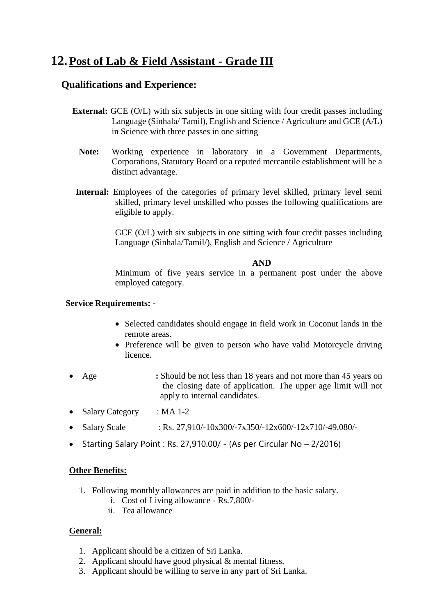# **12.Post of Lab & Field Assistant - Grade III**

## **Qualifications and Experience:**

- **External:** GCE (O/L) with six subjects in one sitting with four credit passes including Language (Sinhala/ Tamil), English and Science / Agriculture and GCE (A/L) in Science with three passes in one sitting
	- **Note:** Working experience in laboratory in a Government Departments, Corporations, Statutory Board or a reputed mercantile establishment will be a distinct advantage.
- **Internal:** Employees of the categories of primary level skilled, primary level semi skilled, primary level unskilled who posses the following qualifications are eligible to apply.

GCE (O/L) with six subjects in one sitting with four credit passes including Language (Sinhala/Tamil/), English and Science / Agriculture

#### **AND**

Minimum of five years service in a permanent post under the above employed category.

#### **Service Requirements: -**

- Selected candidates should engage in field work in Coconut lands in the remote areas.
- Preference will be given to person who have valid Motorcycle driving licence.
- Age **:** Should be not less than 18 years and not more than 45 years on the closing date of application. The upper age limit will not apply to internal candidates.
- Salary Category : MA 1-2
- Salary Scale : Rs. 27,910/-10x300/-7x350/-12x600/-12x710/-49,080/-
- Starting Salary Point : Rs. 27,910.00/ (As per Circular No 2/2016)

#### **Other Benefits:**

- 1. Following monthly allowances are paid in addition to the basic salary.
	- i. Cost of Living allowance Rs.7,800/-
	- ii. Tea allowance

#### **General:**

- 1. Applicant should be a citizen of Sri Lanka.
- 2. Applicant should have good physical & mental fitness.
- 3. Applicant should be willing to serve in any part of Sri Lanka.